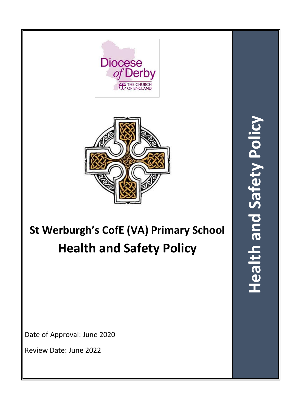



# **St Werburgh's CofE (VA) Primary School Health and Safety Policy**

Date of Approval: June 2020

Review Date: June 2022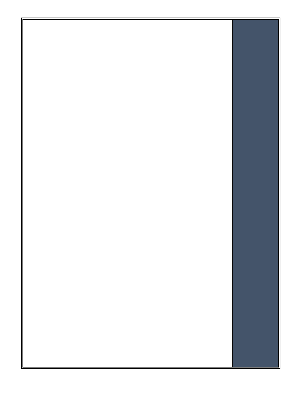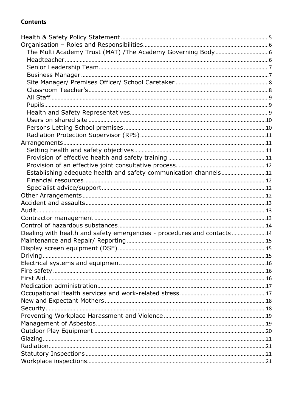# **Contents**

| Dealing with health and safety emergencies - procedures and contacts14 |  |
|------------------------------------------------------------------------|--|
|                                                                        |  |
|                                                                        |  |
|                                                                        |  |
|                                                                        |  |
|                                                                        |  |
|                                                                        |  |
|                                                                        |  |
|                                                                        |  |
|                                                                        |  |
|                                                                        |  |
|                                                                        |  |
|                                                                        |  |
|                                                                        |  |
|                                                                        |  |
|                                                                        |  |
|                                                                        |  |
|                                                                        |  |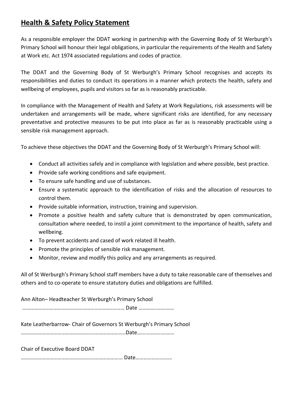# <span id="page-4-0"></span>**Health & Safety Policy Statement**

As a responsible employer the DDAT working in partnership with the Governing Body of St Werburgh's Primary School will honour their legal obligations, in particular the requirements of the Health and Safety at Work etc. Act 1974 associated regulations and codes of practice.

The DDAT and the Governing Body of St Werburgh's Primary School recognises and accepts its responsibilities and duties to conduct its operations in a manner which protects the health, safety and wellbeing of employees, pupils and visitors so far as is reasonably practicable.

In compliance with the Management of Health and Safety at Work Regulations, risk assessments will be undertaken and arrangements will be made, where significant risks are identified, for any necessary preventative and protective measures to be put into place as far as is reasonably practicable using a sensible risk management approach.

To achieve these objectives the DDAT and the Governing Body of St Werburgh's Primary School will:

- Conduct all activities safely and in compliance with legislation and where possible, best practice.
- Provide safe working conditions and safe equipment.
- To ensure safe handling and use of substances.
- Ensure a systematic approach to the identification of risks and the allocation of resources to control them.
- Provide suitable information, instruction, training and supervision.
- Promote a positive health and safety culture that is demonstrated by open communication, consultation where needed, to instil a joint commitment to the importance of health, safety and wellbeing.
- To prevent accidents and cased of work related ill health.
- Promote the principles of sensible risk management.
- Monitor, review and modify this policy and any arrangements as required.

All of St Werburgh's Primary School staff members have a duty to take reasonable care of themselves and others and to co-operate to ensure statutory duties and obligations are fulfilled.

Ann Alton– Headteacher St Werburgh's Primary School

………………..……………………………………….……… Date …………..…………

Kate Leatherbarrow- Chair of Governors St Werburgh's Primary School

…………………………………………………………………..Date…….………..………

Chair of Executive Board DDAT

………………………………………………………………… Date………………………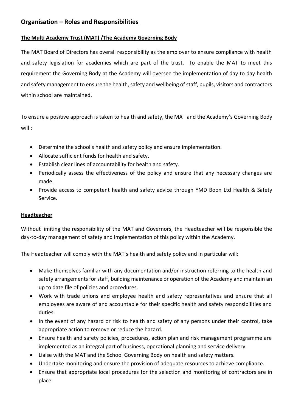## <span id="page-5-0"></span>**Organisation – Roles and Responsibilities**

## <span id="page-5-1"></span>**The Multi Academy Trust (MAT) /The Academy Governing Body**

The MAT Board of Directors has overall responsibility as the employer to ensure compliance with health and safety legislation for academies which are part of the trust. To enable the MAT to meet this requirement the Governing Body at the Academy will oversee the implementation of day to day health and safety management to ensure the health, safety and wellbeing of staff, pupils, visitors and contractors within school are maintained.

To ensure a positive approach is taken to health and safety, the MAT and the Academy's Governing Body will :

- Determine the school's health and safety policy and ensure implementation.
- Allocate sufficient funds for health and safety.
- Establish clear lines of accountability for health and safety.
- Periodically assess the effectiveness of the policy and ensure that any necessary changes are made.
- Provide access to competent health and safety advice through YMD Boon Ltd Health & Safety Service.

## <span id="page-5-2"></span>**Headteacher**

Without limiting the responsibility of the MAT and Governors, the Headteacher will be responsible the day-to-day management of safety and implementation of this policy within the Academy.

The Headteacher will comply with the MAT's health and safety policy and in particular will:

- Make themselves familiar with any documentation and/or instruction referring to the health and safety arrangements for staff, building maintenance or operation of the Academy and maintain an up to date file of policies and procedures.
- Work with trade unions and employee health and safety representatives and ensure that all employees are aware of and accountable for their specific health and safety responsibilities and duties.
- In the event of any hazard or risk to health and safety of any persons under their control, take appropriate action to remove or reduce the hazard.
- Ensure health and safety policies, procedures, action plan and risk management programme are implemented as an integral part of business, operational planning and service delivery.
- Liaise with the MAT and the School Governing Body on health and safety matters.
- Undertake monitoring and ensure the provision of adequate resources to achieve compliance.
- Ensure that appropriate local procedures for the selection and monitoring of contractors are in place.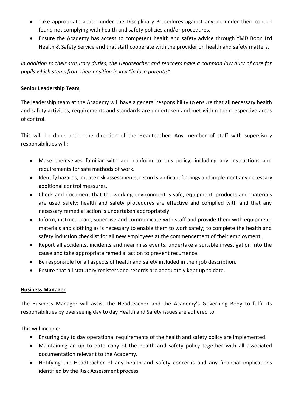- Take appropriate action under the Disciplinary Procedures against anyone under their control found not complying with health and safety policies and/or procedures.
- Ensure the Academy has access to competent health and safety advice through YMD Boon Ltd Health & Safety Service and that staff cooperate with the provider on health and safety matters.

*In addition to their statutory duties, the Headteacher and teachers have a common law duty of care for pupils which stems from their position in law "in loco parentis".*

#### <span id="page-6-0"></span>**Senior Leadership Team**

The leadership team at the Academy will have a general responsibility to ensure that all necessary health and safety activities, requirements and standards are undertaken and met within their respective areas of control.

This will be done under the direction of the Headteacher. Any member of staff with supervisory responsibilities will:

- Make themselves familiar with and conform to this policy, including any instructions and requirements for safe methods of work.
- Identify hazards, initiate risk assessments, record significant findings and implement any necessary additional control measures.
- Check and document that the working environment is safe; equipment, products and materials are used safely; health and safety procedures are effective and complied with and that any necessary remedial action is undertaken appropriately.
- Inform, instruct, train, supervise and communicate with staff and provide them with equipment, materials and clothing as is necessary to enable them to work safely; to complete the health and safety induction checklist for all new employees at the commencement of their employment.
- Report all accidents, incidents and near miss events, undertake a suitable investigation into the cause and take appropriate remedial action to prevent recurrence.
- Be responsible for all aspects of health and safety included in their job description.
- Ensure that all statutory registers and records are adequately kept up to date.

#### <span id="page-6-1"></span>**Business Manager**

The Business Manager will assist the Headteacher and the Academy's Governing Body to fulfil its responsibilities by overseeing day to day Health and Safety issues are adhered to.

This will include:

- Ensuring day to day operational requirements of the health and safety policy are implemented.
- Maintaining an up to date copy of the health and safety policy together with all associated documentation relevant to the Academy.
- Notifying the Headteacher of any health and safety concerns and any financial implications identified by the Risk Assessment process.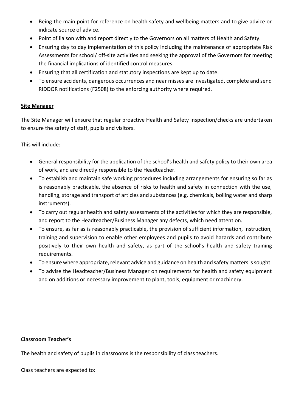- Being the main point for reference on health safety and wellbeing matters and to give advice or indicate source of advice.
- Point of liaison with and report directly to the Governors on all matters of Health and Safety.
- Ensuring day to day implementation of this policy including the maintenance of appropriate Risk Assessments for school/ off-site activities and seeking the approval of the Governors for meeting the financial implications of identified control measures.
- Ensuring that all certification and statutory inspections are kept up to date.
- To ensure accidents, dangerous occurrences and near misses are investigated, complete and send RIDDOR notifications (F2508) to the enforcing authority where required.

## <span id="page-7-0"></span>**Site Manager**

The Site Manager will ensure that regular proactive Health and Safety inspection/checks are undertaken to ensure the safety of staff, pupils and visitors.

This will include:

- General responsibility for the application of the school's health and safety policy to their own area of work, and are directly responsible to the Headteacher.
- To establish and maintain safe working procedures including arrangements for ensuring so far as is reasonably practicable, the absence of risks to health and safety in connection with the use, handling, storage and transport of articles and substances (e.g. chemicals, boiling water and sharp instruments).
- To carry out regular health and safety assessments of the activities for which they are responsible, and report to the Headteacher/Business Manager any defects, which need attention.
- To ensure, as far as is reasonably practicable, the provision of sufficient information, instruction, training and supervision to enable other employees and pupils to avoid hazards and contribute positively to their own health and safety, as part of the school's health and safety training requirements.
- To ensure where appropriate, relevant advice and guidance on health and safety matters is sought.
- To advise the Headteacher/Business Manager on requirements for health and safety equipment and on additions or necessary improvement to plant, tools, equipment or machinery.

## <span id="page-7-1"></span>**Classroom Teacher's**

The health and safety of pupils in classrooms is the responsibility of class teachers.

Class teachers are expected to: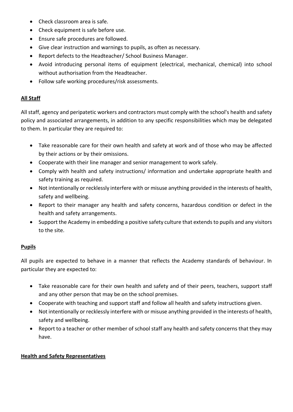- Check classroom area is safe.
- Check equipment is safe before use.
- Ensure safe procedures are followed.
- Give clear instruction and warnings to pupils, as often as necessary.
- Report defects to the Headteacher/ School Business Manager.
- Avoid introducing personal items of equipment (electrical, mechanical, chemical) into school without authorisation from the Headteacher.
- Follow safe working procedures/risk assessments.

#### <span id="page-8-0"></span>**All Staff**

All staff, agency and peripatetic workers and contractors must comply with the school's health and safety policy and associated arrangements, in addition to any specific responsibilities which may be delegated to them. In particular they are required to:

- Take reasonable care for their own health and safety at work and of those who may be affected by their actions or by their omissions.
- Cooperate with their line manager and senior management to work safely.
- Comply with health and safety instructions/ information and undertake appropriate health and safety training as required.
- Not intentionally or recklessly interfere with or misuse anything provided in the interests of health, safety and wellbeing.
- Report to their manager any health and safety concerns, hazardous condition or defect in the health and safety arrangements.
- Support the Academy in embedding a positive safety culture that extends to pupils and any visitors to the site.

#### <span id="page-8-1"></span>**Pupils**

All pupils are expected to behave in a manner that reflects the Academy standards of behaviour. In particular they are expected to:

- Take reasonable care for their own health and safety and of their peers, teachers, support staff and any other person that may be on the school premises.
- Cooperate with teaching and support staff and follow all health and safety instructions given.
- Not intentionally or recklessly interfere with or misuse anything provided in the interests of health, safety and wellbeing.
- Report to a teacher or other member of school staff any health and safety concerns that they may have.

#### <span id="page-8-2"></span>**Health and Safety Representatives**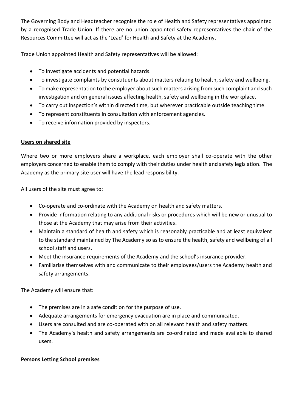The Governing Body and Headteacher recognise the role of Health and Safety representatives appointed by a recognised Trade Union. If there are no union appointed safety representatives the chair of the Resources Committee will act as the 'Lead' for Health and Safety at the Academy.

Trade Union appointed Health and Safety representatives will be allowed:

- To investigate accidents and potential hazards.
- To investigate complaints by constituents about matters relating to health, safety and wellbeing.
- To make representation to the employer about such matters arising from such complaint and such investigation and on general issues affecting health, safety and wellbeing in the workplace.
- To carry out inspection's within directed time, but wherever practicable outside teaching time.
- To represent constituents in consultation with enforcement agencies.
- To receive information provided by inspectors.

#### <span id="page-9-0"></span>**Users on shared site**

Where two or more employers share a workplace, each employer shall co-operate with the other employers concerned to enable them to comply with their duties under health and safety legislation. The Academy as the primary site user will have the lead responsibility.

All users of the site must agree to:

- Co-operate and co-ordinate with the Academy on health and safety matters.
- Provide information relating to any additional risks or procedures which will be new or unusual to those at the Academy that may arise from their activities.
- Maintain a standard of health and safety which is reasonably practicable and at least equivalent to the standard maintained by The Academy so as to ensure the health, safety and wellbeing of all school staff and users.
- Meet the insurance requirements of the Academy and the school's insurance provider.
- Familiarise themselves with and communicate to their employees/users the Academy health and safety arrangements.

The Academy will ensure that:

- The premises are in a safe condition for the purpose of use.
- Adequate arrangements for emergency evacuation are in place and communicated.
- Users are consulted and are co-operated with on all relevant health and safety matters.
- The Academy's health and safety arrangements are co-ordinated and made available to shared users.

## <span id="page-9-1"></span>**Persons Letting School premises**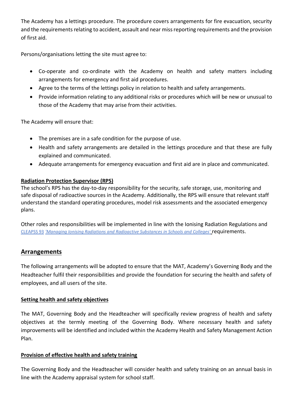The Academy has a lettings procedure. The procedure covers arrangements for fire evacuation, security and the requirements relating to accident, assault and near miss reporting requirements and the provision of first aid.

Persons/organisations letting the site must agree to:

- Co-operate and co-ordinate with the Academy on health and safety matters including arrangements for emergency and first aid procedures.
- Agree to the terms of the lettings policy in relation to health and safety arrangements.
- Provide information relating to any additional risks or procedures which will be new or unusual to those of the Academy that may arise from their activities.

The Academy will ensure that:

- The premises are in a safe condition for the purpose of use.
- Health and safety arrangements are detailed in the lettings procedure and that these are fully explained and communicated.
- Adequate arrangements for emergency evacuation and first aid are in place and communicated.

#### <span id="page-10-0"></span>**Radiation Protection Supervisor (RPS)**

The school's RPS has the day-to-day responsibility for the security, safe storage, use, monitoring and safe disposal of radioactive sources in the Academy. Additionally, the RPS will ensure that relevant staff understand the standard operating procedures, model risk assessments and the associated emergency plans.

Other roles and responsibilities will be implemented in line with the Ionising Radiation Regulations and CLEAPSS 93 *['Managing Ionising Radiations and Radioactive Substances in Schools and Colleges'](http://science.cleapss.org.uk/resource/L093-Managing-Ionising-Radiations-and-Radioactive-Substances-in-Schools-and-Colleges.pdf)* requirements.

## <span id="page-10-1"></span>**Arrangements**

The following arrangements will be adopted to ensure that the MAT, Academy's Governing Body and the Headteacher fulfil their responsibilities and provide the foundation for securing the health and safety of employees, and all users of the site.

#### <span id="page-10-2"></span>**Setting health and safety objectives**

The MAT, Governing Body and the Headteacher will specifically review progress of health and safety objectives at the termly meeting of the Governing Body. Where necessary health and safety improvements will be identified and included within the Academy Health and Safety Management Action Plan.

## <span id="page-10-3"></span>**Provision of effective health and safety training**

The Governing Body and the Headteacher will consider health and safety training on an annual basis in line with the Academy appraisal system for school staff.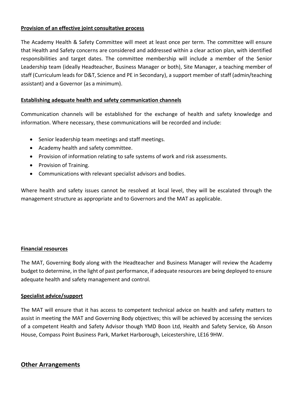#### <span id="page-11-0"></span>**Provision of an effective joint consultative process**

The Academy Health & Safety Committee will meet at least once per term. The committee will ensure that Health and Safety concerns are considered and addressed within a clear action plan, with identified responsibilities and target dates. The committee membership will include a member of the Senior Leadership team (ideally Headteacher, Business Manager or both), Site Manager, a teaching member of staff (Curriculum leads for D&T, Science and PE in Secondary), a support member of staff (admin/teaching assistant) and a Governor (as a minimum).

#### <span id="page-11-1"></span>**Establishing adequate health and safety communication channels**

Communication channels will be established for the exchange of health and safety knowledge and information. Where necessary, these communications will be recorded and include:

- Senior leadership team meetings and staff meetings.
- Academy health and safety committee.
- Provision of information relating to safe systems of work and risk assessments.
- Provision of Training.
- Communications with relevant specialist advisors and bodies.

Where health and safety issues cannot be resolved at local level, they will be escalated through the management structure as appropriate and to Governors and the MAT as applicable.

#### <span id="page-11-2"></span>**Financial resources**

The MAT, Governing Body along with the Headteacher and Business Manager will review the Academy budget to determine, in the light of past performance, if adequate resources are being deployed to ensure adequate health and safety management and control.

#### <span id="page-11-3"></span>**Specialist advice/support**

The MAT will ensure that it has access to competent technical advice on health and safety matters to assist in meeting the MAT and Governing Body objectives; this will be achieved by accessing the services of a competent Health and Safety Advisor though YMD Boon Ltd, Health and Safety Service, 6b Anson House, Compass Point Business Park, Market Harborough, Leicestershire, LE16 9HW.

## <span id="page-11-4"></span>**Other Arrangements**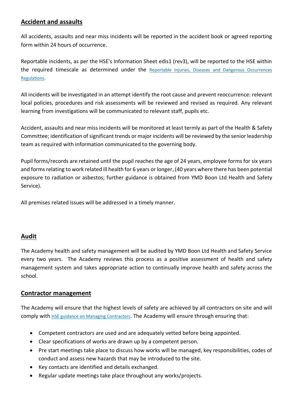## <span id="page-12-0"></span>**Accident and assaults**

All accidents, assaults and near miss incidents will be reported in the accident book or agreed reporting form within 24 hours of occurrence.

Reportable incidents, as per the HSE's Information Sheet edis1 (rev3), will be reported to the HSE within the required timescale as determined under the Reportable Injuries, Diseases and Dangerous Occurrences [Regulations](https://www.hse.gov.uk/riddor/).

All incidents will be investigated in an attempt identify the root cause and prevent reoccurrence: relevant local policies, procedures and risk assessments will be reviewed and revised as required. Any relevant learning from investigations will be communicated to relevant staff, pupils etc.

Accident, assaults and near miss incidents will be monitored at least termly as part of the Health & Safety Committee; identification of significant trends or major incidents will be reviewed by the senior leadership team as required with information communicated to the governing body.

Pupil forms/records are retained until the pupil reaches the age of 24 years, employee forms for six years and forms relating to work related ill health for 6 years or longer, (40 years where there has been potential exposure to radiation or asbestos; further guidance is obtained from YMD Boon Ltd Health and Safety Service).

All premises related issues will be addressed in a timely manner.

## <span id="page-12-1"></span>**Audit**

The Academy health and safety management will be audited by YMD Boon Ltd Health and Safety Service every two years. The Academy reviews this process as a positive assessment of health and safety management system and takes appropriate action to continually improve health and safety across the school.

## <span id="page-12-2"></span>**Contractor management**

The Academy will ensure that the highest levels of safety are achieved by all contractors on site and will comply with **[HSE guidance on Managing Contractors](https://www.hse.gov.uk/managing/delivering/do/organising/managing-contractors.htm)**. The Academy will ensure through ensuring that:

- Competent contractors are used and are adequately vetted before being appointed.
- Clear specifications of works are drawn up by a competent person.
- Pre start meetings take place to discuss how works will be managed, key responsibilities, codes of conduct and assess new hazards that may be introduced to the site.
- Key contacts are identified and details exchanged.
- Regular update meetings take place throughout any works/projects.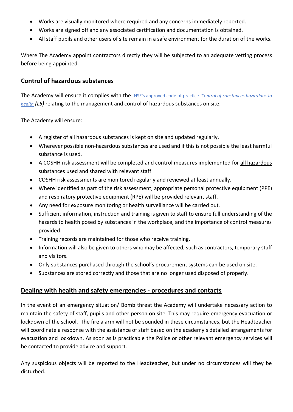- Works are visually monitored where required and any concerns immediately reported.
- Works are signed off and any associated certification and documentation is obtained.
- All staff pupils and other users of site remain in a safe environment for the duration of the works.

Where The Academy appoint contractors directly they will be subjected to an adequate vetting process before being appointed.

#### <span id="page-13-0"></span>**Control of hazardous substances**

The Academy will ensure it complies with the *HSE's approved code of practice 'Control of substances hazardous to [health](https://www.hse.gov.uk/pubns/priced/l5.pdf) (L5)* relating to the management and control of hazardous substances on site.

The Academy will ensure:

- A register of all hazardous substances is kept on site and updated regularly.
- Wherever possible non-hazardous substances are used and if this is not possible the least harmful substance is used.
- A COSHH risk assessment will be completed and control measures implemented for all hazardous substances used and shared with relevant staff.
- COSHH risk assessments are monitored regularly and reviewed at least annually.
- Where identified as part of the risk assessment, appropriate personal protective equipment (PPE) and respiratory protective equipment (RPE) will be provided relevant staff.
- Any need for exposure monitoring or health surveillance will be carried out.
- Sufficient information, instruction and training is given to staff to ensure full understanding of the hazards to health posed by substances in the workplace, and the importance of control measures provided.
- Training records are maintained for those who receive training.
- Information will also be given to others who may be affected, such as contractors, temporary staff and visitors.
- Only substances purchased through the school's procurement systems can be used on site.
- Substances are stored correctly and those that are no longer used disposed of properly.

## <span id="page-13-1"></span>**Dealing with health and safety emergencies - procedures and contacts**

In the event of an emergency situation/ Bomb threat the Academy will undertake necessary action to maintain the safety of staff, pupils and other person on site. This may require emergency evacuation or lockdown of the school. The fire alarm will not be sounded in these circumstances, but the Headteacher will coordinate a response with the assistance of staff based on the academy's detailed arrangements for evacuation and lockdown. As soon as is practicable the Police or other relevant emergency services will be contacted to provide advice and support.

Any suspicious objects will be reported to the Headteacher, but under no circumstances will they be disturbed.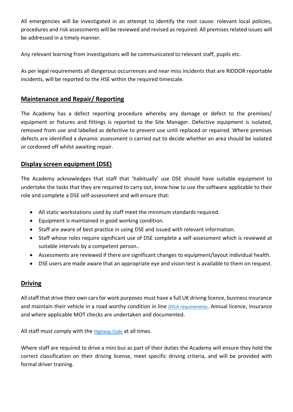All emergencies will be investigated in an attempt to identify the root cause: relevant local policies, procedures and risk assessments will be reviewed and revised as required. All premises related issues will be addressed in a timely manner.

Any relevant learning from investigations will be communicated to relevant staff, pupils etc.

As per legal requirements all dangerous occurrences and near miss incidents that are RIDDOR reportable incidents, will be reported to the HSE within the required timescale.

## <span id="page-14-0"></span>**Maintenance and Repair/ Reporting**

The Academy has a defect reporting procedure whereby any damage or defect to the premises/ equipment or fixtures and fittings is reported to the Site Manager. Defective equipment is isolated, removed from use and labelled as defective to prevent use until replaced or repaired. Where premises defects are identified a dynamic assessment is carried out to decide whether an area should be isolated or cordoned off whilst awaiting repair.

## <span id="page-14-1"></span>**Display screen equipment (DSE)**

The Academy acknowledges that staff that 'habitually' use DSE should have suitable equipment to undertake the tasks that they are required to carry out, know how to use the software applicable to their role and complete a DSE self-assessment and will ensure that:

- All static workstations used by staff meet the minimum standards required.
- Equipment is maintained in good working condition.
- Staff are aware of best practice in using DSE and issued with relevant information.
- Staff whose roles require significant use of DSE complete a self-assessment which is reviewed at suitable intervals by a competent person..
- Assessments are reviewed if there are significant changes to equipment/layout individual health.
- DSE users are made aware that an appropriate eye and vision test is available to them on request.

## <span id="page-14-2"></span>**Driving**

All staff that drive their own cars for work purposes must have a full UK driving licence, business insurance and maintain their vehicle in a road worthy condition in line **[DVLA requirements](https://www.gov.uk/government/organisations/driver-and-vehicle-licensing-agency)**. Annual licence, insurance and where applicable MOT checks are undertaken and documented.

All staff must comply with the **[Highway Code](https://www.gov.uk/guidance/the-highway-code)** at all times.

Where staff are required to drive a mini bus as part of their duties the Academy will ensure they hold the correct classification on their driving license, meet specific driving criteria, and will be provided with formal driver training.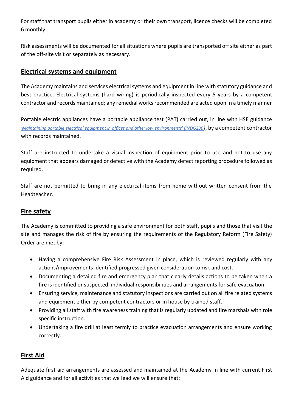For staff that transport pupils either in academy or their own transport, licence checks will be completed 6 monthly.

Risk assessments will be documented for all situations where pupils are transported off site either as part of the off-site visit or separately as necessary.

## <span id="page-15-0"></span>**Electrical systems and equipment**

The Academy maintains and services electrical systems and equipment in line with statutory guidance and best practice. Electrical systems (hard wiring) is periodically inspected every 5 years by a competent contractor and records maintained; any remedial works recommended are acted upon in a timely manner

Portable electric appliances have a portable appliance test (PAT) carried out, in line with HSE guidance *['Maintaining portable electrical equipment in offices and other low environments' \(INDG236](https://www.hse.gov.uk/pubns/indg236.pdf))*, by a competent contractor with records maintained.

Staff are instructed to undertake a visual inspection of equipment prior to use and not to use any equipment that appears damaged or defective with the Academy defect reporting procedure followed as required.

Staff are not permitted to bring in any electrical items from home without written consent from the Headteacher.

## <span id="page-15-1"></span>**Fire safety**

The Academy is committed to providing a safe environment for both staff, pupils and those that visit the site and manages the risk of fire by ensuring the requirements of the Regulatory Reform (Fire Safety) Order are met by:

- Having a comprehensive Fire Risk Assessment in place, which is reviewed regularly with any actions/improvements identified progressed given consideration to risk and cost.
- Documenting a detailed fire and emergency plan that clearly details actions to be taken when a fire is identified or suspected, individual responsibilities and arrangements for safe evacuation.
- Ensuring service, maintenance and statutory inspections are carried out on all fire related systems and equipment either by competent contractors or in house by trained staff.
- Providing all staff with fire awareness training that is regularly updated and fire marshals with role specific instruction.
- Undertaking a fire drill at least termly to practice evacuation arrangements and ensure working correctly.

## <span id="page-15-2"></span>**First Aid**

Adequate first aid arrangements are assessed and maintained at the Academy in line with current First Aid guidance and for all activities that we lead we will ensure that: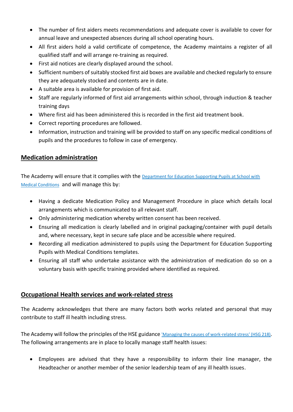- The number of first aiders meets recommendations and adequate cover is available to cover for annual leave and unexpected absences during all school operating hours.
- All first aiders hold a valid certificate of competence, the Academy maintains a register of all qualified staff and will arrange re-training as required.
- First aid notices are clearly displayed around the school.
- Sufficient numbers of suitably stocked first aid boxes are available and checked regularly to ensure they are adequately stocked and contents are in date.
- A suitable area is available for provision of first aid.
- Staff are regularly informed of first aid arrangements within school, through induction & teacher training days
- Where first aid has been administered this is recorded in the first aid treatment book.
- Correct reporting procedures are followed.
- Information, instruction and training will be provided to staff on any specific medical conditions of pupils and the procedures to follow in case of emergency.

## <span id="page-16-0"></span>**Medication administration**

The Academy will ensure that it complies with the Department for Education Supporting Pupils at School with [Medical Conditions](https://assets.publishing.service.gov.uk/government/uploads/system/uploads/attachment_data/file/803956/supporting-pupils-at-school-with-medical-conditions.pdf) and will manage this by:

- Having a dedicate Medication Policy and Management Procedure in place which details local arrangements which is communicated to all relevant staff.
- Only administering medication whereby written consent has been received.
- Ensuring all medication is clearly labelled and in original packaging/container with pupil details and, where necessary, kept in secure safe place and be accessible where required.
- Recording all medication administered to pupils using the Department for Education Supporting Pupils with Medical Conditions templates.
- Ensuring all staff who undertake assistance with the administration of medication do so on a voluntary basis with specific training provided where identified as required.

## <span id="page-16-1"></span>**Occupational Health services and work-related stress**

The Academy acknowledges that there are many factors both works related and personal that may contribute to staff ill health including stress.

The Academy will follow the principles of the HSE guidance ['Managing the causes of work-related stress' \(HSG 218\)](https://www.hse.gov.uk/pubns/wbk01.pdf). The following arrangements are in place to locally manage staff health issues:

• Employees are advised that they have a responsibility to inform their line manager, the Headteacher or another member of the senior leadership team of any ill health issues.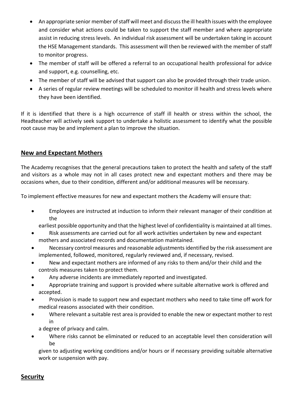- An appropriate senior member of staff will meet and discuss the ill health issues with the employee and consider what actions could be taken to support the staff member and where appropriate assist in reducing stress levels. An individual risk assessment will be undertaken taking in account the HSE Management standards. This assessment will then be reviewed with the member of staff to monitor progress.
- The member of staff will be offered a referral to an occupational health professional for advice and support, e.g. counselling, etc.
- The member of staff will be advised that support can also be provided through their trade union.
- A series of regular review meetings will be scheduled to monitor ill health and stress levels where they have been identified.

If it is identified that there is a high occurrence of staff ill health or stress within the school, the Headteacher will actively seek support to undertake a holistic assessment to identify what the possible root cause may be and implement a plan to improve the situation.

## <span id="page-17-0"></span>**New and Expectant Mothers**

The Academy recognises that the general precautions taken to protect the health and safety of the staff and visitors as a whole may not in all cases protect new and expectant mothers and there may be occasions when, due to their condition, different and/or additional measures will be necessary.

To implement effective measures for new and expectant mothers the Academy will ensure that:

• Employees are instructed at induction to inform their relevant manager of their condition at the

earliest possible opportunity and that the highest level of confidentiality is maintained at all times.

- Risk assessments are carried out for all work activities undertaken by new and expectant mothers and associated records and documentation maintained.
- Necessary control measures and reasonable adjustments identified by the risk assessment are implemented, followed, monitored, regularly reviewed and, if necessary, revised.
- New and expectant mothers are informed of any risks to them and/or their child and the controls measures taken to protect them.
- Any adverse incidents are immediately reported and investigated.
- Appropriate training and support is provided where suitable alternative work is offered and accepted.
- Provision is made to support new and expectant mothers who need to take time off work for medical reasons associated with their condition.
- Where relevant a suitable rest area is provided to enable the new or expectant mother to rest in
	- a degree of privacy and calm.
- Where risks cannot be eliminated or reduced to an acceptable level then consideration will be

given to adjusting working conditions and/or hours or if necessary providing suitable alternative work or suspension with pay.

# <span id="page-17-1"></span>**Security**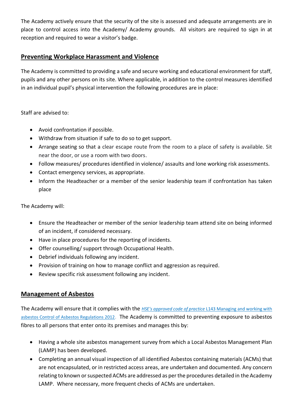The Academy actively ensure that the security of the site is assessed and adequate arrangements are in place to control access into the Academy/ Academy grounds. All visitors are required to sign in at reception and required to wear a visitor's badge.

## <span id="page-18-0"></span>**Preventing Workplace Harassment and Violence**

The Academy is committed to providing a safe and secure working and educational environment for staff, pupils and any other persons on its site. Where applicable, in addition to the control measures identified in an individual pupil's physical intervention the following procedures are in place:

Staff are advised to:

- Avoid confrontation if possible.
- Withdraw from situation if safe to do so to get support.
- Arrange seating so that a clear escape route from the room to a place of safety is available. Sit near the door, or use a room with two doors.
- Follow measures/ procedures identified in violence/ assaults and lone working risk assessments.
- Contact emergency services, as appropriate.
- Inform the Headteacher or a member of the senior leadership team if confrontation has taken place

The Academy will:

- Ensure the Headteacher or member of the senior leadership team attend site on being informed of an incident, if considered necessary.
- Have in place procedures for the reporting of incidents.
- Offer counselling/ support through Occupational Health.
- Debrief individuals following any incident.
- Provision of training on how to manage conflict and aggression as required.
- Review specific risk assessment following any incident.

## <span id="page-18-1"></span>**Management of Asbestos**

The Academy will ensure that it complies with the *HSE's approved code of practice* [L143 Managing and working with](https://www.hse.gov.uk/pubns/priced/l143.pdf)  [asbestos Control of Asbestos Regulations 2012](https://www.hse.gov.uk/pubns/priced/l143.pdf). The Academy is committed to preventing exposure to asbestos fibres to all persons that enter onto its premises and manages this by:

- Having a whole site asbestos management survey from which a Local Asbestos Management Plan (LAMP) has been developed.
- Completing an annual visual inspection of all identified Asbestos containing materials (ACMs) that are not encapsulated, or in restricted access areas, are undertaken and documented. Any concern relating to known or suspected ACMs are addressed as per the procedures detailed in the Academy LAMP. Where necessary, more frequent checks of ACMs are undertaken.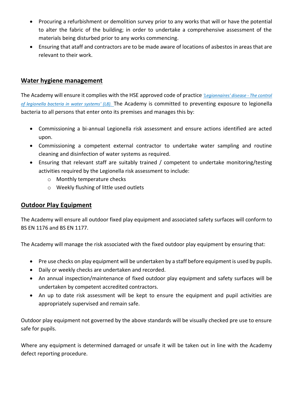- Procuring a refurbishment or demolition survey prior to any works that will or have the potential to alter the fabric of the building; in order to undertake a comprehensive assessment of the materials being disturbed prior to any works commencing.
- Ensuring that ataff and contractors are to be made aware of locations of asbestos in areas that are relevant to their work.

## **Water hygiene management**

The Academy will ensure it complies with the HSE approved code of practice *['Legionnaires' disease -](https://www.hse.gov.uk/pubns/priced/l8.pdf) The control [of legionella bacteria in water systems' \(L8\).](https://www.hse.gov.uk/pubns/priced/l8.pdf)* The Academy is committed to preventing exposure to legionella bacteria to all persons that enter onto its premises and manages this by:

- Commissioning a bi-annual Legionella risk assessment and ensure actions identified are acted upon.
- Commissioning a competent external contractor to undertake water sampling and routine cleaning and disinfection of water systems as required.
- Ensuring that relevant staff are suitably trained / competent to undertake monitoring/testing activities required by the Legionella risk assessment to include:
	- o Monthly temperature checks
	- o Weekly flushing of little used outlets

## <span id="page-19-0"></span>**Outdoor Play Equipment**

The Academy will ensure all outdoor fixed play equipment and associated safety surfaces will conform to BS EN 1176 and BS EN 1177.

The Academy will manage the risk associated with the fixed outdoor play equipment by ensuring that:

- Pre use checks on play equipment will be undertaken by a staff before equipment is used by pupils.
- Daily or weekly checks are undertaken and recorded.
- An annual inspection/maintenance of fixed outdoor play equipment and safety surfaces will be undertaken by competent accredited contractors.
- An up to date risk assessment will be kept to ensure the equipment and pupil activities are appropriately supervised and remain safe.

Outdoor play equipment not governed by the above standards will be visually checked pre use to ensure safe for pupils.

Where any equipment is determined damaged or unsafe it will be taken out in line with the Academy defect reporting procedure.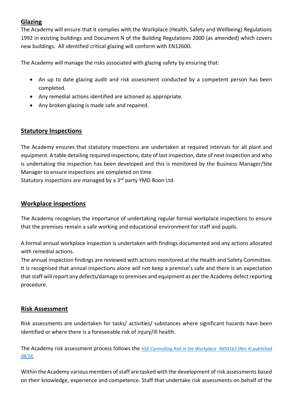# <span id="page-20-0"></span>**Glazing**

The Academy will ensure that it complies with the Workplace (Health, Safety and Wellbeing) Regulations 1992 in existing buildings and Document N of the Building Regulations 2000 (as amended) which covers new buildings. All identified critical glazing will conform with EN12600.

The Academy will manage the risks associated with glazing safety by ensuring that:

- An up to date glazing audit and risk assessment conducted by a competent person has been completed.
- Any remedial actions identified are actioned as appropriate.
- Any broken glazing is made safe and repaired.

## <span id="page-20-1"></span>**Statutory Inspections**

The Academy ensures that statutory inspections are undertaken at required intervals for all plant and equipment. A table detailing required inspections, date of last inspection, date of next inspection and who is undertaking the inspection has been developed and this is monitored by the Business Manager/Site Manager to ensure inspections are completed on time.

Statutory inspections are managed by a 3<sup>rd</sup> party YMD Boon Ltd.

## <span id="page-20-2"></span>**Workplace inspections**

The Academy recognises the importance of undertaking regular formal workplace inspections to ensure that the premises remain a safe working and educational environment for staff and pupils.

A formal annual workplace inspection is undertaken with findings documented and any actions allocated with remedial actions.

The annual inspection findings are reviewed with actions monitored at the Health and Safety Committee. It is recognised that annual inspections alone will not keep a premise's safe and there is an expectation that staff will report any defects/damage to premises and equipment as per the Academy defect reporting procedure.

## <span id="page-20-3"></span>**Risk Assessment**

Risk assessments are undertaken for tasks/ activities/ substances where significant hazards have been identified or where there is a foreseeable risk of injury/ill health.

The Academy risk assessment process follows the *[HSE Controlling Risk in the Workplace INDG163 \(Rev 4\) published](https://www.hse.gov.uk/pubns/indg163.pdf)  [08/14.](https://www.hse.gov.uk/pubns/indg163.pdf)*

Within the Academy various members of staff are tasked with the development of risk assessments based on their knowledge, experience and competence. Staff that undertake risk assessments on behalf of the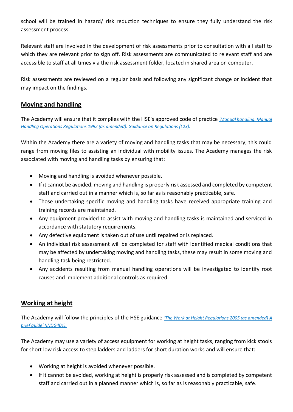school will be trained in hazard/ risk reduction techniques to ensure they fully understand the risk assessment process.

Relevant staff are involved in the development of risk assessments prior to consultation with all staff to which they are relevant prior to sign off. Risk assessments are communicated to relevant staff and are accessible to staff at all times via the risk assessment folder, located in shared area on computer.

Risk assessments are reviewed on a regular basis and following any significant change or incident that may impact on the findings.

# <span id="page-21-0"></span>**Moving and handling**

The Academy will ensure that it complies with the HSE's approved code of practice *['Manual handling. Manual](https://www.hse.gov.uk/pubns/priced/l23.pdf)  [Handling Operations Regulations 1992 \(as amended\). Guidance on Regulations \(L23\).](https://www.hse.gov.uk/pubns/priced/l23.pdf)*

Within the Academy there are a variety of moving and handling tasks that may be necessary; this could range from moving files to assisting an individual with mobility issues. The Academy manages the risk associated with moving and handling tasks by ensuring that:

- Moving and handling is avoided whenever possible.
- If it cannot be avoided, moving and handling is properly risk assessed and completed by competent staff and carried out in a manner which is, so far as is reasonably practicable, safe.
- Those undertaking specific moving and handling tasks have received appropriate training and training records are maintained.
- Any equipment provided to assist with moving and handling tasks is maintained and serviced in accordance with statutory requirements.
- Any defective equipment is taken out of use until repaired or is replaced.
- An individual risk assessment will be completed for staff with identified medical conditions that may be affected by undertaking moving and handling tasks, these may result in some moving and handling task being restricted.
- Any accidents resulting from manual handling operations will be investigated to identify root causes and implement additional controls as required.

## <span id="page-21-1"></span>**Working at height**

The Academy will follow the principles of the HSE guidance *['The Work at Height Regulations 2005 \(as amended\) A](https://www.hse.gov.uk/pubns/indg401.pdf)  [brief guide' \(INDG401\).](https://www.hse.gov.uk/pubns/indg401.pdf)*

The Academy may use a variety of access equipment for working at height tasks, ranging from kick stools for short low risk access to step ladders and ladders for short duration works and will ensure that:

- Working at height is avoided whenever possible.
- If it cannot be avoided, working at height is properly risk assessed and is completed by competent staff and carried out in a planned manner which is, so far as is reasonably practicable, safe.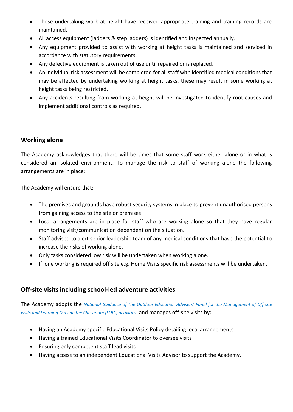- Those undertaking work at height have received appropriate training and training records are maintained.
- All access equipment (ladders & step ladders) is identified and inspected annually.
- Any equipment provided to assist with working at height tasks is maintained and serviced in accordance with statutory requirements.
- Any defective equipment is taken out of use until repaired or is replaced.
- An individual risk assessment will be completed for all staff with identified medical conditions that may be affected by undertaking working at height tasks, these may result in some working at height tasks being restricted.
- Any accidents resulting from working at height will be investigated to identify root causes and implement additional controls as required.

## <span id="page-22-0"></span>**Working alone**

The Academy acknowledges that there will be times that some staff work either alone or in what is considered an isolated environment. To manage the risk to staff of working alone the following arrangements are in place:

The Academy will ensure that:

- The premises and grounds have robust security systems in place to prevent unauthorised persons from gaining access to the site or premises
- Local arrangements are in place for staff who are working alone so that they have regular monitoring visit/communication dependent on the situation.
- Staff advised to alert senior leadership team of any medical conditions that have the potential to increase the risks of working alone.
- Only tasks considered low risk will be undertaken when working alone.
- If lone working is required off site e.g. Home Visits specific risk assessments will be undertaken.

# <span id="page-22-1"></span>**Off-site visits including school-led adventure activities**

The Academy adopts the *[National Guidance of The Outdoor Education](https://www.lotc.org.uk/) Advisers' Panel for the Management of Off-site [visits and Learning Outside the Classroom \(LOtC\) activities.](https://www.lotc.org.uk/)* and manages off-site visits by:

- Having an Academy specific Educational Visits Policy detailing local arrangements
- Having a trained Educational Visits Coordinator to oversee visits
- Ensuring only competent staff lead visits
- Having access to an independent Educational Visits Advisor to support the Academy.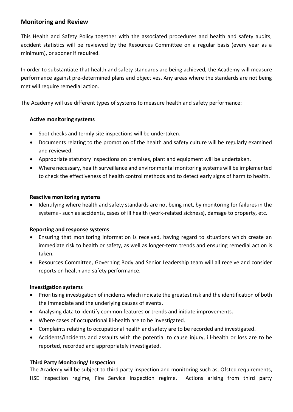## **Monitoring and Review**

This Health and Safety Policy together with the associated procedures and health and safety audits, accident statistics will be reviewed by the Resources Committee on a regular basis (every year as a minimum), or sooner if required.

In order to substantiate that health and safety standards are being achieved, the Academy will measure performance against pre-determined plans and objectives. Any areas where the standards are not being met will require remedial action.

The Academy will use different types of systems to measure health and safety performance:

## **Active monitoring systems**

- Spot checks and termly site inspections will be undertaken.
- Documents relating to the promotion of the health and safety culture will be regularly examined and reviewed.
- Appropriate statutory inspections on premises, plant and equipment will be undertaken.
- Where necessary, health surveillance and environmental monitoring systems will be implemented to check the effectiveness of health control methods and to detect early signs of harm to health.

#### **Reactive monitoring systems**

• Identifying where health and safety standards are not being met, by monitoring for failures in the systems - such as accidents, cases of ill health (work-related sickness), damage to property, etc.

## **Reporting and response systems**

- Ensuring that monitoring information is received, having regard to situations which create an immediate risk to health or safety, as well as longer-term trends and ensuring remedial action is taken.
- Resources Committee, Governing Body and Senior Leadership team will all receive and consider reports on health and safety performance.

## **Investigation systems**

- Prioritising investigation of incidents which indicate the greatest risk and the identification of both the immediate and the underlying causes of events.
- Analysing data to identify common features or trends and initiate improvements.
- Where cases of occupational ill-health are to be investigated.
- Complaints relating to occupational health and safety are to be recorded and investigated.
- Accidents/incidents and assaults with the potential to cause injury, ill-health or loss are to be reported, recorded and appropriately investigated.

## **Third Party Monitoring/ Inspection**

The Academy will be subject to third party inspection and monitoring such as, Ofsted requirements, HSE inspection regime, Fire Service Inspection regime. Actions arising from third party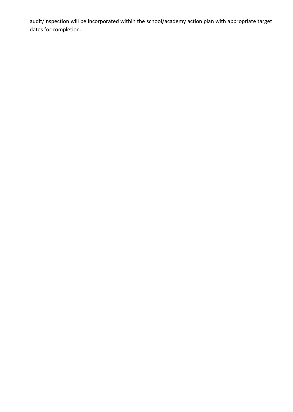audit/inspection will be incorporated within the school/academy action plan with appropriate target dates for completion.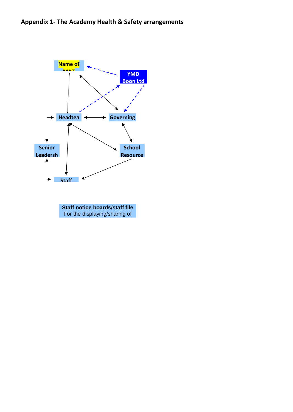<span id="page-25-0"></span>

**Staff notice boards/staff file** For the displaying/sharing of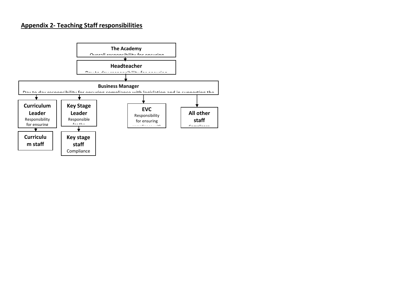# **Appendix 2- Teaching Staff responsibilities**

<span id="page-26-0"></span>